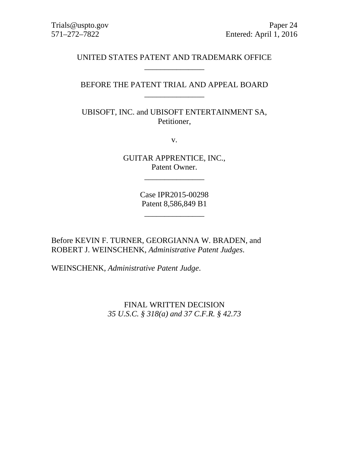# UNITED STATES PATENT AND TRADEMARK OFFICE \_\_\_\_\_\_\_\_\_\_\_\_\_\_\_

# BEFORE THE PATENT TRIAL AND APPEAL BOARD \_\_\_\_\_\_\_\_\_\_\_\_\_\_\_

UBISOFT, INC. and UBISOFT ENTERTAINMENT SA, Petitioner,

v.

GUITAR APPRENTICE, INC., Patent Owner.

\_\_\_\_\_\_\_\_\_\_\_\_\_\_\_

Case IPR2015-00298 Patent 8,586,849 B1

\_\_\_\_\_\_\_\_\_\_\_\_\_\_\_

Before KEVIN F. TURNER, GEORGIANNA W. BRADEN, and ROBERT J. WEINSCHENK, *Administrative Patent Judges*.

WEINSCHENK, *Administrative Patent Judge*.

FINAL WRITTEN DECISION *35 U.S.C. § 318(a) and 37 C.F.R. § 42.73*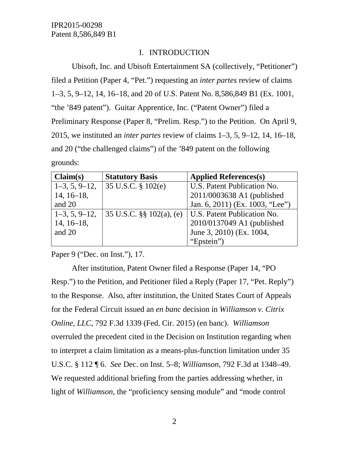# I. INTRODUCTION

Ubisoft, Inc. and Ubisoft Entertainment SA (collectively, "Petitioner") filed a Petition (Paper 4, "Pet.") requesting an *inter partes* review of claims 1–3, 5, 9–12, 14, 16–18, and 20 of U.S. Patent No. 8,586,849 B1 (Ex. 1001, "the '849 patent"). Guitar Apprentice, Inc. ("Patent Owner") filed a Preliminary Response (Paper 8, "Prelim. Resp.") to the Petition. On April 9, 2015, we instituted an *inter partes* review of claims 1–3, 5, 9–12, 14, 16–18, and 20 ("the challenged claims") of the '849 patent on the following grounds:

| Claim(s)        | <b>Statutory Basis</b>       | <b>Applied References(s)</b>       |
|-----------------|------------------------------|------------------------------------|
| $1-3, 5, 9-12,$ | 35 U.S.C. $\S 102(e)$        | U.S. Patent Publication No.        |
| $14, 16-18,$    |                              | 2011/0003638 A1 (published         |
| and 20          |                              | Jan. 6, 2011) (Ex. 1003, "Lee")    |
| $1-3, 5, 9-12,$ | 35 U.S.C. $\S$ § 102(a), (e) | <b>U.S. Patent Publication No.</b> |
| $14, 16-18,$    |                              | 2010/0137049 A1 (published         |
| and 20          |                              | June 3, 2010) (Ex. 1004,           |
|                 |                              | "Epstein")                         |

Paper 9 ("Dec. on Inst."), 17.

After institution, Patent Owner filed a Response (Paper 14, "PO Resp.") to the Petition, and Petitioner filed a Reply (Paper 17, "Pet. Reply") to the Response. Also, after institution, the United States Court of Appeals for the Federal Circuit issued an *en banc* decision in *Williamson v. Citrix Online, LLC*, 792 F.3d 1339 (Fed. Cir. 2015) (en banc). *Williamson* overruled the precedent cited in the Decision on Institution regarding when to interpret a claim limitation as a means-plus-function limitation under 35 U.S.C. § 112 ¶ 6. *See* Dec. on Inst. 5–8; *Williamson*, 792 F.3d at 1348–49. We requested additional briefing from the parties addressing whether, in light of *Williamson*, the "proficiency sensing module" and "mode control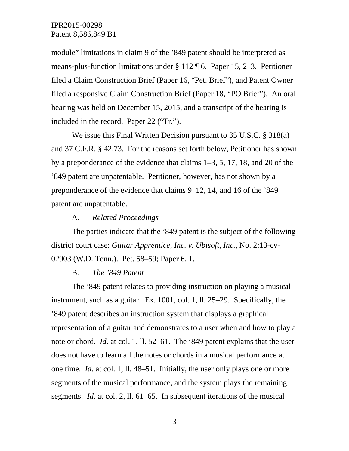module" limitations in claim 9 of the '849 patent should be interpreted as means-plus-function limitations under § 112 ¶ 6. Paper 15, 2–3. Petitioner filed a Claim Construction Brief (Paper 16, "Pet. Brief"), and Patent Owner filed a responsive Claim Construction Brief (Paper 18, "PO Brief"). An oral hearing was held on December 15, 2015, and a transcript of the hearing is included in the record. Paper 22 ("Tr.").

We issue this Final Written Decision pursuant to 35 U.S.C. § 318(a) and 37 C.F.R. § 42.73. For the reasons set forth below, Petitioner has shown by a preponderance of the evidence that claims 1–3, 5, 17, 18, and 20 of the '849 patent are unpatentable. Petitioner, however, has not shown by a preponderance of the evidence that claims 9–12, 14, and 16 of the '849 patent are unpatentable.

#### A. *Related Proceedings*

The parties indicate that the '849 patent is the subject of the following district court case: *Guitar Apprentice, Inc. v. Ubisoft, Inc.*, No. 2:13-cv-02903 (W.D. Tenn.). Pet. 58–59; Paper 6, 1.

#### B. *The '849 Patent*

The '849 patent relates to providing instruction on playing a musical instrument, such as a guitar. Ex. 1001, col. 1, ll. 25–29. Specifically, the '849 patent describes an instruction system that displays a graphical representation of a guitar and demonstrates to a user when and how to play a note or chord. *Id.* at col. 1, ll. 52–61. The '849 patent explains that the user does not have to learn all the notes or chords in a musical performance at one time. *Id.* at col. 1, ll. 48–51. Initially, the user only plays one or more segments of the musical performance, and the system plays the remaining segments. *Id.* at col. 2, ll. 61–65. In subsequent iterations of the musical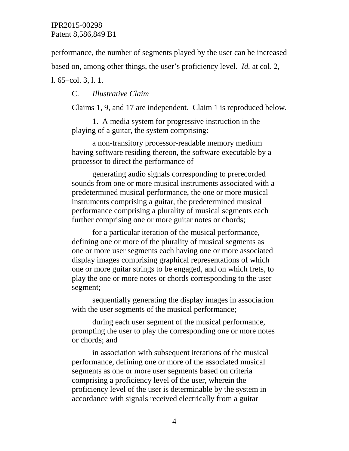performance, the number of segments played by the user can be increased based on, among other things, the user's proficiency level. *Id.* at col. 2,

l. 65–col. 3, l. 1.

# C. *Illustrative Claim*

Claims 1, 9, and 17 are independent. Claim 1 is reproduced below.

1. A media system for progressive instruction in the playing of a guitar, the system comprising:

a non-transitory processor-readable memory medium having software residing thereon, the software executable by a processor to direct the performance of

generating audio signals corresponding to prerecorded sounds from one or more musical instruments associated with a predetermined musical performance, the one or more musical instruments comprising a guitar, the predetermined musical performance comprising a plurality of musical segments each further comprising one or more guitar notes or chords;

for a particular iteration of the musical performance, defining one or more of the plurality of musical segments as one or more user segments each having one or more associated display images comprising graphical representations of which one or more guitar strings to be engaged, and on which frets, to play the one or more notes or chords corresponding to the user segment;

sequentially generating the display images in association with the user segments of the musical performance;

during each user segment of the musical performance, prompting the user to play the corresponding one or more notes or chords; and

in association with subsequent iterations of the musical performance, defining one or more of the associated musical segments as one or more user segments based on criteria comprising a proficiency level of the user, wherein the proficiency level of the user is determinable by the system in accordance with signals received electrically from a guitar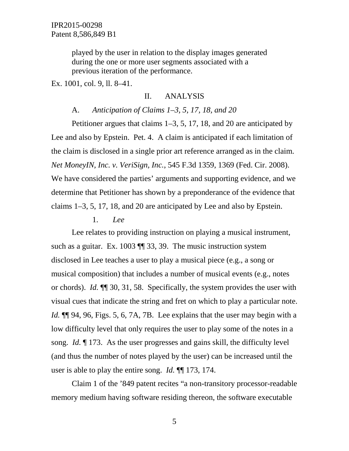played by the user in relation to the display images generated during the one or more user segments associated with a previous iteration of the performance.

Ex. 1001, col. 9, ll. 8–41.

### II. ANALYSIS

### A. *Anticipation of Claims 1–3, 5, 17, 18, and 20*

Petitioner argues that claims 1–3, 5, 17, 18, and 20 are anticipated by Lee and also by Epstein. Pet. 4. A claim is anticipated if each limitation of the claim is disclosed in a single prior art reference arranged as in the claim. *Net MoneyIN, Inc. v. VeriSign, Inc.*, 545 F.3d 1359, 1369 (Fed. Cir. 2008). We have considered the parties' arguments and supporting evidence, and we determine that Petitioner has shown by a preponderance of the evidence that claims 1–3, 5, 17, 18, and 20 are anticipated by Lee and also by Epstein.

### 1. *Lee*

Lee relates to providing instruction on playing a musical instrument, such as a guitar. Ex. 1003  $\P$  33, 39. The music instruction system disclosed in Lee teaches a user to play a musical piece (e.g., a song or musical composition) that includes a number of musical events (e.g., notes or chords). *Id.* ¶¶ 30, 31, 58. Specifically, the system provides the user with visual cues that indicate the string and fret on which to play a particular note. *Id.* ¶¶ 94, 96, Figs. 5, 6, 7A, 7B. Lee explains that the user may begin with a low difficulty level that only requires the user to play some of the notes in a song. *Id.* ¶ 173. As the user progresses and gains skill, the difficulty level (and thus the number of notes played by the user) can be increased until the user is able to play the entire song. *Id.* ¶¶ 173, 174.

Claim 1 of the '849 patent recites "a non-transitory processor-readable memory medium having software residing thereon, the software executable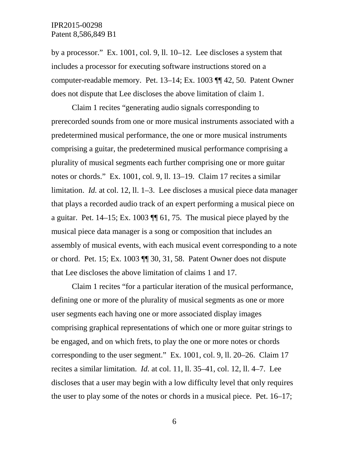by a processor." Ex. 1001, col. 9, ll. 10–12. Lee discloses a system that includes a processor for executing software instructions stored on a computer-readable memory. Pet. 13–14; Ex. 1003 ¶¶ 42, 50. Patent Owner does not dispute that Lee discloses the above limitation of claim 1.

Claim 1 recites "generating audio signals corresponding to prerecorded sounds from one or more musical instruments associated with a predetermined musical performance, the one or more musical instruments comprising a guitar, the predetermined musical performance comprising a plurality of musical segments each further comprising one or more guitar notes or chords." Ex. 1001, col. 9, ll. 13–19. Claim 17 recites a similar limitation. *Id.* at col. 12, ll. 1–3. Lee discloses a musical piece data manager that plays a recorded audio track of an expert performing a musical piece on a guitar. Pet. 14–15; Ex. 1003 ¶¶ 61, 75. The musical piece played by the musical piece data manager is a song or composition that includes an assembly of musical events, with each musical event corresponding to a note or chord. Pet. 15; Ex. 1003 ¶¶ 30, 31, 58. Patent Owner does not dispute that Lee discloses the above limitation of claims 1 and 17.

Claim 1 recites "for a particular iteration of the musical performance, defining one or more of the plurality of musical segments as one or more user segments each having one or more associated display images comprising graphical representations of which one or more guitar strings to be engaged, and on which frets, to play the one or more notes or chords corresponding to the user segment." Ex. 1001, col. 9, ll. 20–26. Claim 17 recites a similar limitation. *Id.* at col. 11, ll. 35–41, col. 12, ll. 4–7. Lee discloses that a user may begin with a low difficulty level that only requires the user to play some of the notes or chords in a musical piece. Pet. 16–17;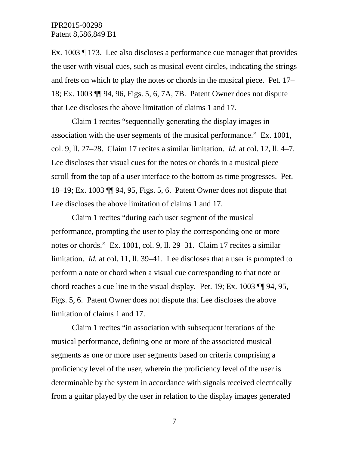Ex. 1003 ¶ 173. Lee also discloses a performance cue manager that provides the user with visual cues, such as musical event circles, indicating the strings and frets on which to play the notes or chords in the musical piece. Pet. 17– 18; Ex. 1003 ¶¶ 94, 96, Figs. 5, 6, 7A, 7B. Patent Owner does not dispute that Lee discloses the above limitation of claims 1 and 17.

Claim 1 recites "sequentially generating the display images in association with the user segments of the musical performance." Ex. 1001, col. 9, ll. 27–28. Claim 17 recites a similar limitation. *Id.* at col. 12, ll. 4–7. Lee discloses that visual cues for the notes or chords in a musical piece scroll from the top of a user interface to the bottom as time progresses. Pet. 18–19; Ex. 1003 ¶¶ 94, 95, Figs. 5, 6. Patent Owner does not dispute that Lee discloses the above limitation of claims 1 and 17.

Claim 1 recites "during each user segment of the musical performance, prompting the user to play the corresponding one or more notes or chords." Ex. 1001, col. 9, ll. 29–31. Claim 17 recites a similar limitation. *Id.* at col. 11, ll. 39–41. Lee discloses that a user is prompted to perform a note or chord when a visual cue corresponding to that note or chord reaches a cue line in the visual display. Pet. 19; Ex. 1003 ¶¶ 94, 95, Figs. 5, 6. Patent Owner does not dispute that Lee discloses the above limitation of claims 1 and 17.

Claim 1 recites "in association with subsequent iterations of the musical performance, defining one or more of the associated musical segments as one or more user segments based on criteria comprising a proficiency level of the user, wherein the proficiency level of the user is determinable by the system in accordance with signals received electrically from a guitar played by the user in relation to the display images generated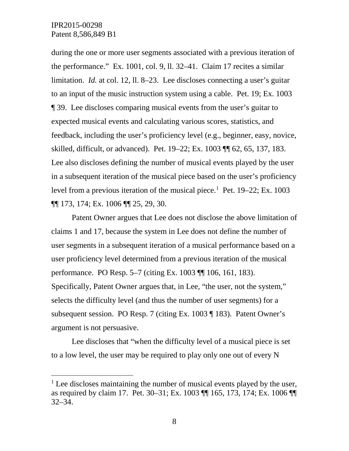during the one or more user segments associated with a previous iteration of the performance." Ex. 1001, col. 9, ll. 32–41. Claim 17 recites a similar limitation. *Id.* at col. 12, ll. 8–23. Lee discloses connecting a user's guitar to an input of the music instruction system using a cable. Pet. 19; Ex. 1003 ¶ 39. Lee discloses comparing musical events from the user's guitar to expected musical events and calculating various scores, statistics, and feedback, including the user's proficiency level (e.g., beginner, easy, novice, skilled, difficult, or advanced). Pet. 19–22; Ex. 1003 ¶¶ 62, 65, 137, 183. Lee also discloses defining the number of musical events played by the user in a subsequent iteration of the musical piece based on the user's proficiency level from a previous iteration of the musical piece.<sup>[1](#page-7-0)</sup> Pet. 19–22; Ex. 1003 ¶¶ 173, 174; Ex. 1006 ¶¶ 25, 29, 30.

Patent Owner argues that Lee does not disclose the above limitation of claims 1 and 17, because the system in Lee does not define the number of user segments in a subsequent iteration of a musical performance based on a user proficiency level determined from a previous iteration of the musical performance. PO Resp. 5–7 (citing Ex. 1003 ¶¶ 106, 161, 183). Specifically, Patent Owner argues that, in Lee, "the user, not the system," selects the difficulty level (and thus the number of user segments) for a subsequent session. PO Resp. 7 (citing Ex. 1003 ¶ 183). Patent Owner's argument is not persuasive.

Lee discloses that "when the difficulty level of a musical piece is set to a low level, the user may be required to play only one out of every N

<span id="page-7-0"></span> $<sup>1</sup>$  Lee discloses maintaining the number of musical events played by the user,</sup> as required by claim 17. Pet. 30–31; Ex. 1003 ¶¶ 165, 173, 174; Ex. 1006 ¶¶ 32–34.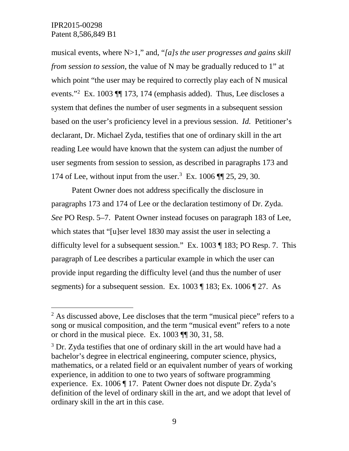musical events, where N>1," and, "*[a]s the user progresses and gains skill from session to session*, the value of N may be gradually reduced to 1" at which point "the user may be required to correctly play each of N musical events."[2](#page-8-0) Ex. 1003 ¶¶ 173, 174 (emphasis added). Thus, Lee discloses a system that defines the number of user segments in a subsequent session based on the user's proficiency level in a previous session. *Id.* Petitioner's declarant, Dr. Michael Zyda, testifies that one of ordinary skill in the art reading Lee would have known that the system can adjust the number of user segments from session to session, as described in paragraphs 173 and 174 of Lee, without input from the user.[3](#page-8-1) Ex. 1006 ¶¶ 25, 29, 30.

Patent Owner does not address specifically the disclosure in paragraphs 173 and 174 of Lee or the declaration testimony of Dr. Zyda. *See* PO Resp. 5–7. Patent Owner instead focuses on paragraph 183 of Lee, which states that "[u]ser level 1830 may assist the user in selecting a difficulty level for a subsequent session." Ex. 1003 ¶ 183; PO Resp. 7. This paragraph of Lee describes a particular example in which the user can provide input regarding the difficulty level (and thus the number of user segments) for a subsequent session. Ex. 1003 ¶ 183; Ex. 1006 ¶ 27. As

<span id="page-8-0"></span> $2$  As discussed above, Lee discloses that the term "musical piece" refers to a song or musical composition, and the term "musical event" refers to a note or chord in the musical piece. Ex. 1003 ¶¶ 30, 31, 58.

<span id="page-8-1"></span><sup>&</sup>lt;sup>3</sup> Dr. Zyda testifies that one of ordinary skill in the art would have had a bachelor's degree in electrical engineering, computer science, physics, mathematics, or a related field or an equivalent number of years of working experience, in addition to one to two years of software programming experience. Ex. 1006 ¶ 17. Patent Owner does not dispute Dr. Zyda's definition of the level of ordinary skill in the art, and we adopt that level of ordinary skill in the art in this case.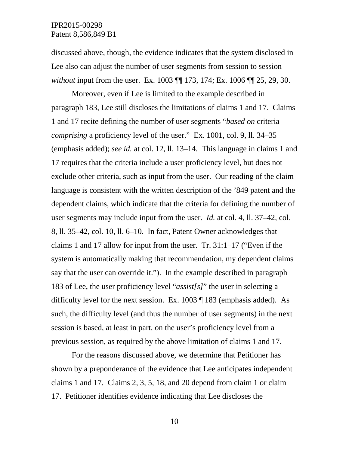discussed above, though, the evidence indicates that the system disclosed in Lee also can adjust the number of user segments from session to session *without* input from the user. Ex. 1003 ¶¶ 173, 174; Ex. 1006 ¶¶ 25, 29, 30.

Moreover, even if Lee is limited to the example described in paragraph 183, Lee still discloses the limitations of claims 1 and 17. Claims 1 and 17 recite defining the number of user segments "*based on* criteria *comprising* a proficiency level of the user." Ex. 1001, col. 9, ll. 34–35 (emphasis added); *see id.* at col. 12, ll. 13–14. This language in claims 1 and 17 requires that the criteria include a user proficiency level, but does not exclude other criteria, such as input from the user. Our reading of the claim language is consistent with the written description of the '849 patent and the dependent claims, which indicate that the criteria for defining the number of user segments may include input from the user. *Id.* at col. 4, ll. 37–42, col. 8, ll. 35–42, col. 10, ll. 6–10. In fact, Patent Owner acknowledges that claims 1 and 17 allow for input from the user. Tr. 31:1–17 ("Even if the system is automatically making that recommendation, my dependent claims say that the user can override it."). In the example described in paragraph 183 of Lee, the user proficiency level "*assist[s]*" the user in selecting a difficulty level for the next session. Ex. 1003 ¶ 183 (emphasis added). As such, the difficulty level (and thus the number of user segments) in the next session is based, at least in part, on the user's proficiency level from a previous session, as required by the above limitation of claims 1 and 17.

For the reasons discussed above, we determine that Petitioner has shown by a preponderance of the evidence that Lee anticipates independent claims 1 and 17. Claims 2, 3, 5, 18, and 20 depend from claim 1 or claim 17. Petitioner identifies evidence indicating that Lee discloses the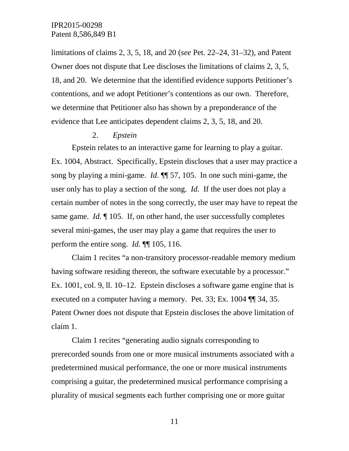limitations of claims 2, 3, 5, 18, and 20 (*see* Pet. 22–24, 31–32), and Patent Owner does not dispute that Lee discloses the limitations of claims 2, 3, 5, 18, and 20. We determine that the identified evidence supports Petitioner's contentions, and we adopt Petitioner's contentions as our own. Therefore, we determine that Petitioner also has shown by a preponderance of the evidence that Lee anticipates dependent claims 2, 3, 5, 18, and 20.

# 2. *Epstein*

Epstein relates to an interactive game for learning to play a guitar. Ex. 1004, Abstract. Specifically, Epstein discloses that a user may practice a song by playing a mini-game. *Id.* ¶¶ 57, 105. In one such mini-game, the user only has to play a section of the song. *Id.* If the user does not play a certain number of notes in the song correctly, the user may have to repeat the same game. *Id.* ¶ 105. If, on other hand, the user successfully completes several mini-games, the user may play a game that requires the user to perform the entire song. *Id.* ¶¶ 105, 116.

Claim 1 recites "a non-transitory processor-readable memory medium having software residing thereon, the software executable by a processor." Ex. 1001, col. 9, ll. 10–12. Epstein discloses a software game engine that is executed on a computer having a memory. Pet. 33; Ex. 1004 ¶¶ 34, 35. Patent Owner does not dispute that Epstein discloses the above limitation of claim 1.

Claim 1 recites "generating audio signals corresponding to prerecorded sounds from one or more musical instruments associated with a predetermined musical performance, the one or more musical instruments comprising a guitar, the predetermined musical performance comprising a plurality of musical segments each further comprising one or more guitar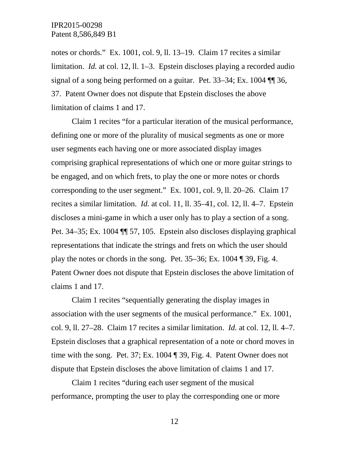notes or chords." Ex. 1001, col. 9, ll. 13–19. Claim 17 recites a similar limitation. *Id.* at col. 12, ll. 1–3. Epstein discloses playing a recorded audio signal of a song being performed on a guitar. Pet. 33–34; Ex. 1004 ¶¶ 36, 37. Patent Owner does not dispute that Epstein discloses the above limitation of claims 1 and 17.

Claim 1 recites "for a particular iteration of the musical performance, defining one or more of the plurality of musical segments as one or more user segments each having one or more associated display images comprising graphical representations of which one or more guitar strings to be engaged, and on which frets, to play the one or more notes or chords corresponding to the user segment." Ex. 1001, col. 9, ll. 20–26. Claim 17 recites a similar limitation. *Id.* at col. 11, ll. 35–41, col. 12, ll. 4–7. Epstein discloses a mini-game in which a user only has to play a section of a song. Pet. 34–35; Ex. 1004 ¶¶ 57, 105. Epstein also discloses displaying graphical representations that indicate the strings and frets on which the user should play the notes or chords in the song. Pet. 35–36; Ex. 1004 ¶ 39, Fig. 4. Patent Owner does not dispute that Epstein discloses the above limitation of claims 1 and 17.

Claim 1 recites "sequentially generating the display images in association with the user segments of the musical performance." Ex. 1001, col. 9, ll. 27–28. Claim 17 recites a similar limitation. *Id.* at col. 12, ll. 4–7. Epstein discloses that a graphical representation of a note or chord moves in time with the song. Pet. 37; Ex. 1004 ¶ 39, Fig. 4. Patent Owner does not dispute that Epstein discloses the above limitation of claims 1 and 17.

Claim 1 recites "during each user segment of the musical performance, prompting the user to play the corresponding one or more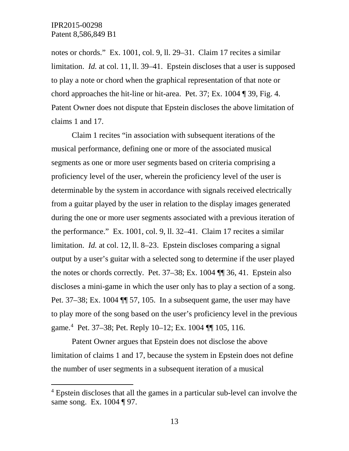notes or chords." Ex. 1001, col. 9, ll. 29–31. Claim 17 recites a similar limitation. *Id.* at col. 11, ll. 39–41. Epstein discloses that a user is supposed to play a note or chord when the graphical representation of that note or chord approaches the hit-line or hit-area. Pet. 37; Ex. 1004 ¶ 39, Fig. 4. Patent Owner does not dispute that Epstein discloses the above limitation of claims 1 and 17.

Claim 1 recites "in association with subsequent iterations of the musical performance, defining one or more of the associated musical segments as one or more user segments based on criteria comprising a proficiency level of the user, wherein the proficiency level of the user is determinable by the system in accordance with signals received electrically from a guitar played by the user in relation to the display images generated during the one or more user segments associated with a previous iteration of the performance." Ex. 1001, col. 9, ll. 32–41. Claim 17 recites a similar limitation. *Id.* at col. 12, ll. 8–23. Epstein discloses comparing a signal output by a user's guitar with a selected song to determine if the user played the notes or chords correctly. Pet. 37–38; Ex. 1004 ¶¶ 36, 41. Epstein also discloses a mini-game in which the user only has to play a section of a song. Pet. 37–38; Ex. 1004 ¶¶ 57, 105. In a subsequent game, the user may have to play more of the song based on the user's proficiency level in the previous game.[4](#page-12-0) Pet. 37–38; Pet. Reply 10–12; Ex. 1004 ¶¶ 105, 116.

Patent Owner argues that Epstein does not disclose the above limitation of claims 1 and 17, because the system in Epstein does not define the number of user segments in a subsequent iteration of a musical

<span id="page-12-0"></span> <sup>4</sup> Epstein discloses that all the games in a particular sub-level can involve the same song. Ex. 1004 ¶ 97.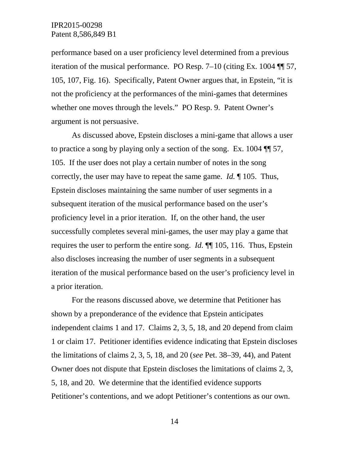performance based on a user proficiency level determined from a previous iteration of the musical performance. PO Resp. 7–10 (citing Ex. 1004 ¶¶ 57, 105, 107, Fig. 16). Specifically, Patent Owner argues that, in Epstein, "it is not the proficiency at the performances of the mini-games that determines whether one moves through the levels." PO Resp. 9. Patent Owner's argument is not persuasive.

As discussed above, Epstein discloses a mini-game that allows a user to practice a song by playing only a section of the song. Ex. 1004 ¶¶ 57, 105. If the user does not play a certain number of notes in the song correctly, the user may have to repeat the same game. *Id.* ¶ 105. Thus, Epstein discloses maintaining the same number of user segments in a subsequent iteration of the musical performance based on the user's proficiency level in a prior iteration. If, on the other hand, the user successfully completes several mini-games, the user may play a game that requires the user to perform the entire song. *Id.* ¶¶ 105, 116. Thus, Epstein also discloses increasing the number of user segments in a subsequent iteration of the musical performance based on the user's proficiency level in a prior iteration.

For the reasons discussed above, we determine that Petitioner has shown by a preponderance of the evidence that Epstein anticipates independent claims 1 and 17. Claims 2, 3, 5, 18, and 20 depend from claim 1 or claim 17. Petitioner identifies evidence indicating that Epstein discloses the limitations of claims 2, 3, 5, 18, and 20 (*see* Pet. 38–39, 44), and Patent Owner does not dispute that Epstein discloses the limitations of claims 2, 3, 5, 18, and 20. We determine that the identified evidence supports Petitioner's contentions, and we adopt Petitioner's contentions as our own.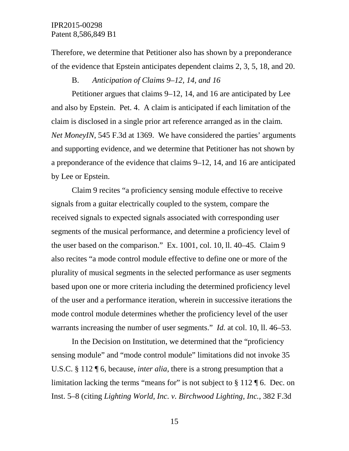Therefore, we determine that Petitioner also has shown by a preponderance of the evidence that Epstein anticipates dependent claims 2, 3, 5, 18, and 20.

# B. *Anticipation of Claims 9–12, 14, and 16*

Petitioner argues that claims 9–12, 14, and 16 are anticipated by Lee and also by Epstein. Pet. 4. A claim is anticipated if each limitation of the claim is disclosed in a single prior art reference arranged as in the claim. *Net MoneyIN*, 545 F.3d at 1369. We have considered the parties' arguments and supporting evidence, and we determine that Petitioner has not shown by a preponderance of the evidence that claims 9–12, 14, and 16 are anticipated by Lee or Epstein.

Claim 9 recites "a proficiency sensing module effective to receive signals from a guitar electrically coupled to the system, compare the received signals to expected signals associated with corresponding user segments of the musical performance, and determine a proficiency level of the user based on the comparison." Ex. 1001, col. 10, ll. 40–45. Claim 9 also recites "a mode control module effective to define one or more of the plurality of musical segments in the selected performance as user segments based upon one or more criteria including the determined proficiency level of the user and a performance iteration, wherein in successive iterations the mode control module determines whether the proficiency level of the user warrants increasing the number of user segments." *Id.* at col. 10, ll. 46–53.

In the Decision on Institution, we determined that the "proficiency sensing module" and "mode control module" limitations did not invoke 35 U.S.C. § 112 ¶ 6, because, *inter alia*, there is a strong presumption that a limitation lacking the terms "means for" is not subject to § 112 ¶ 6. Dec. on Inst. 5–8 (citing *Lighting World, Inc. v. Birchwood Lighting, Inc.*, 382 F.3d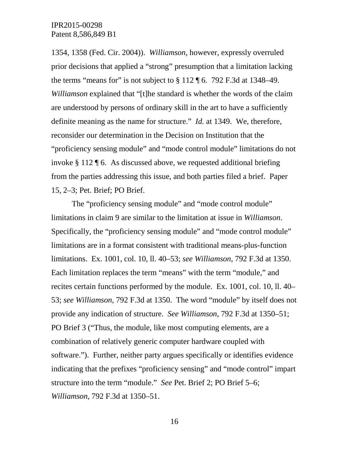1354, 1358 (Fed. Cir. 2004)). *Williamson*, however, expressly overruled prior decisions that applied a "strong" presumption that a limitation lacking the terms "means for" is not subject to  $\S 112 \text{ K}$  6. 792 F.3d at 1348–49. *Williamson* explained that "[t]he standard is whether the words of the claim are understood by persons of ordinary skill in the art to have a sufficiently definite meaning as the name for structure." *Id.* at 1349. We, therefore, reconsider our determination in the Decision on Institution that the "proficiency sensing module" and "mode control module" limitations do not invoke § 112 ¶ 6. As discussed above, we requested additional briefing from the parties addressing this issue, and both parties filed a brief. Paper 15, 2–3; Pet. Brief; PO Brief.

The "proficiency sensing module" and "mode control module" limitations in claim 9 are similar to the limitation at issue in *Williamson*. Specifically, the "proficiency sensing module" and "mode control module" limitations are in a format consistent with traditional means-plus-function limitations. Ex. 1001, col. 10, ll. 40–53; *see Williamson*, 792 F.3d at 1350. Each limitation replaces the term "means" with the term "module," and recites certain functions performed by the module. Ex. 1001, col. 10, ll. 40– 53; *see Williamson*, 792 F.3d at 1350. The word "module" by itself does not provide any indication of structure. *See Williamson*, 792 F.3d at 1350–51; PO Brief 3 ("Thus, the module, like most computing elements, are a combination of relatively generic computer hardware coupled with software."). Further, neither party argues specifically or identifies evidence indicating that the prefixes "proficiency sensing" and "mode control" impart structure into the term "module." *See* Pet. Brief 2; PO Brief 5–6; *Williamson*, 792 F.3d at 1350–51.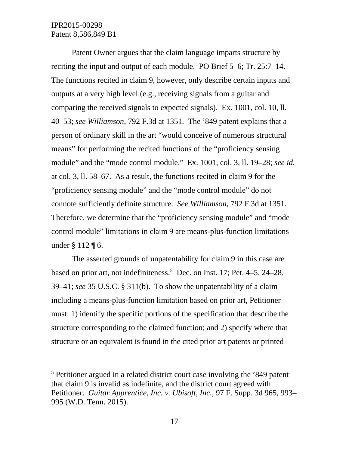Patent Owner argues that the claim language imparts structure by reciting the input and output of each module. PO Brief 5–6; Tr. 25:7–14. The functions recited in claim 9, however, only describe certain inputs and outputs at a very high level (e.g., receiving signals from a guitar and comparing the received signals to expected signals). Ex. 1001, col. 10, ll. 40–53; *see Williamson*, 792 F.3d at 1351. The '849 patent explains that a person of ordinary skill in the art "would conceive of numerous structural means" for performing the recited functions of the "proficiency sensing module" and the "mode control module." Ex. 1001, col. 3, ll. 19–28; *see id.* at col. 3, ll. 58–67. As a result, the functions recited in claim 9 for the "proficiency sensing module" and the "mode control module" do not connote sufficiently definite structure. *See Williamson*, 792 F.3d at 1351. Therefore, we determine that the "proficiency sensing module" and "mode control module" limitations in claim 9 are means-plus-function limitations under § 112 ¶ 6.

The asserted grounds of unpatentability for claim 9 in this case are based on prior art, not indefiniteness. [5](#page-16-0) Dec. on Inst. 17; Pet. 4–5, 24–28, 39–41; *see* 35 U.S.C. § 311(b). To show the unpatentability of a claim including a means-plus-function limitation based on prior art, Petitioner must: 1) identify the specific portions of the specification that describe the structure corresponding to the claimed function; and 2) specify where that structure or an equivalent is found in the cited prior art patents or printed

<span id="page-16-0"></span> <sup>5</sup> Petitioner argued in a related district court case involving the '849 patent that claim 9 is invalid as indefinite, and the district court agreed with Petitioner. *Guitar Apprentice, Inc. v. Ubisoft, Inc.*, 97 F. Supp. 3d 965, 993– 995 (W.D. Tenn. 2015).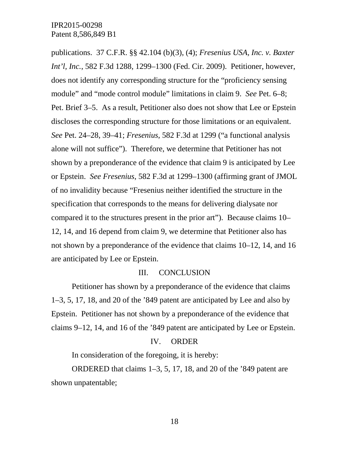publications. 37 C.F.R. §§ 42.104 (b)(3), (4); *Fresenius USA, Inc. v. Baxter Int'l, Inc.*, 582 F.3d 1288, 1299–1300 (Fed. Cir. 2009). Petitioner, however, does not identify any corresponding structure for the "proficiency sensing module" and "mode control module" limitations in claim 9. *See* Pet. 6–8; Pet. Brief 3–5. As a result, Petitioner also does not show that Lee or Epstein discloses the corresponding structure for those limitations or an equivalent. *See* Pet. 24–28, 39–41; *Fresenius*, 582 F.3d at 1299 ("a functional analysis alone will not suffice"). Therefore, we determine that Petitioner has not shown by a preponderance of the evidence that claim 9 is anticipated by Lee or Epstein. *See Fresenius*, 582 F.3d at 1299–1300 (affirming grant of JMOL of no invalidity because "Fresenius neither identified the structure in the specification that corresponds to the means for delivering dialysate nor compared it to the structures present in the prior art"). Because claims 10– 12, 14, and 16 depend from claim 9, we determine that Petitioner also has not shown by a preponderance of the evidence that claims 10–12, 14, and 16 are anticipated by Lee or Epstein.

### III. CONCLUSION

Petitioner has shown by a preponderance of the evidence that claims 1–3, 5, 17, 18, and 20 of the '849 patent are anticipated by Lee and also by Epstein. Petitioner has not shown by a preponderance of the evidence that claims 9–12, 14, and 16 of the '849 patent are anticipated by Lee or Epstein.

### IV. ORDER

In consideration of the foregoing, it is hereby:

ORDERED that claims 1–3, 5, 17, 18, and 20 of the '849 patent are shown unpatentable;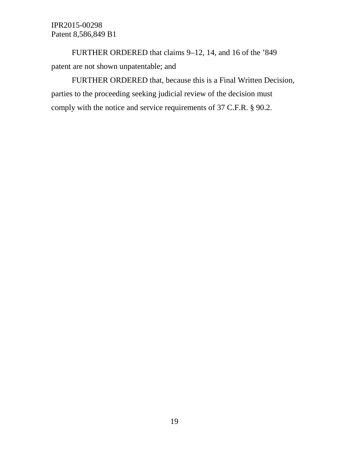FURTHER ORDERED that claims 9–12, 14, and 16 of the '849 patent are not shown unpatentable; and

FURTHER ORDERED that, because this is a Final Written Decision, parties to the proceeding seeking judicial review of the decision must comply with the notice and service requirements of 37 C.F.R. § 90.2.